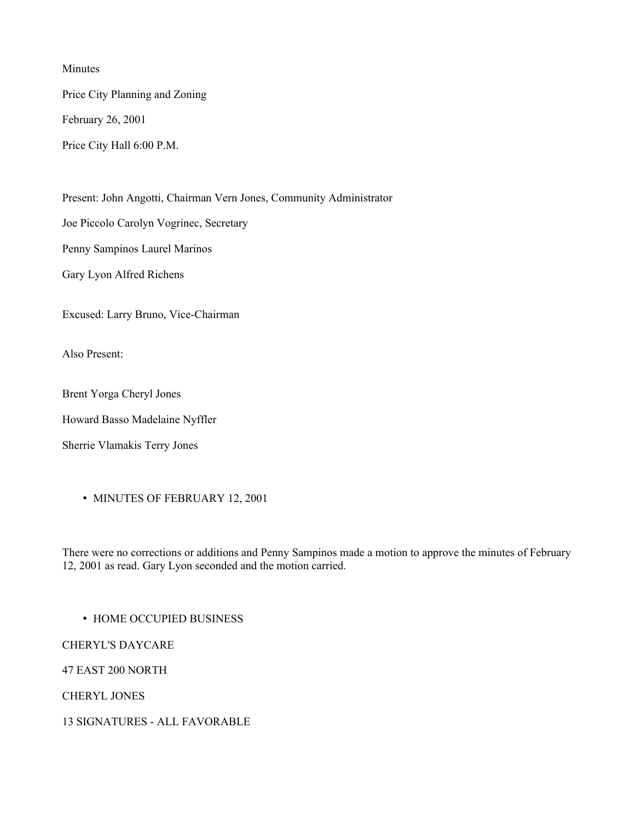Minutes

Price City Planning and Zoning

February 26, 2001

Price City Hall 6:00 P.M.

Present: John Angotti, Chairman Vern Jones, Community Administrator

Joe Piccolo Carolyn Vogrinec, Secretary

Penny Sampinos Laurel Marinos

Gary Lyon Alfred Richens

Excused: Larry Bruno, Vice-Chairman

Also Present:

Brent Yorga Cheryl Jones

Howard Basso Madelaine Nyffler

Sherrie Vlamakis Terry Jones

• MINUTES OF FEBRUARY 12, 2001

There were no corrections or additions and Penny Sampinos made a motion to approve the minutes of February 12, 2001 as read. Gary Lyon seconded and the motion carried.

• HOME OCCUPIED BUSINESS

CHERYL'S DAYCARE

47 EAST 200 NORTH

CHERYL JONES

13 SIGNATURES - ALL FAVORABLE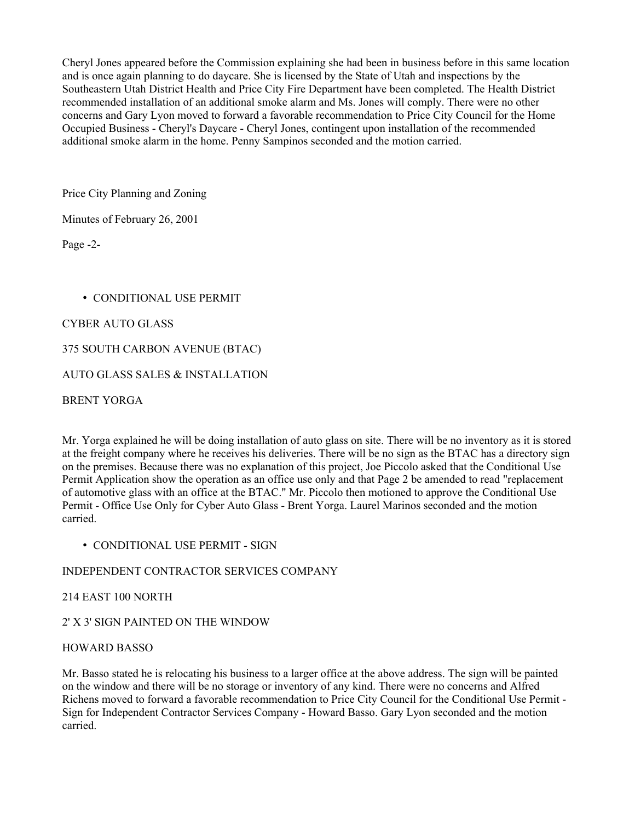Cheryl Jones appeared before the Commission explaining she had been in business before in this same location and is once again planning to do daycare. She is licensed by the State of Utah and inspections by the Southeastern Utah District Health and Price City Fire Department have been completed. The Health District recommended installation of an additional smoke alarm and Ms. Jones will comply. There were no other concerns and Gary Lyon moved to forward a favorable recommendation to Price City Council for the Home Occupied Business - Cheryl's Daycare - Cheryl Jones, contingent upon installation of the recommended additional smoke alarm in the home. Penny Sampinos seconded and the motion carried.

Price City Planning and Zoning

Minutes of February 26, 2001

Page -2-

# • CONDITIONAL USE PERMIT

## CYBER AUTO GLASS

### 375 SOUTH CARBON AVENUE (BTAC)

## AUTO GLASS SALES & INSTALLATION

BRENT YORGA

Mr. Yorga explained he will be doing installation of auto glass on site. There will be no inventory as it is stored at the freight company where he receives his deliveries. There will be no sign as the BTAC has a directory sign on the premises. Because there was no explanation of this project, Joe Piccolo asked that the Conditional Use Permit Application show the operation as an office use only and that Page 2 be amended to read "replacement of automotive glass with an office at the BTAC." Mr. Piccolo then motioned to approve the Conditional Use Permit - Office Use Only for Cyber Auto Glass - Brent Yorga. Laurel Marinos seconded and the motion carried.

• CONDITIONAL USE PERMIT - SIGN

## INDEPENDENT CONTRACTOR SERVICES COMPANY

#### 214 EAST 100 NORTH

## 2' X 3' SIGN PAINTED ON THE WINDOW

#### HOWARD BASSO

Mr. Basso stated he is relocating his business to a larger office at the above address. The sign will be painted on the window and there will be no storage or inventory of any kind. There were no concerns and Alfred Richens moved to forward a favorable recommendation to Price City Council for the Conditional Use Permit - Sign for Independent Contractor Services Company - Howard Basso. Gary Lyon seconded and the motion carried.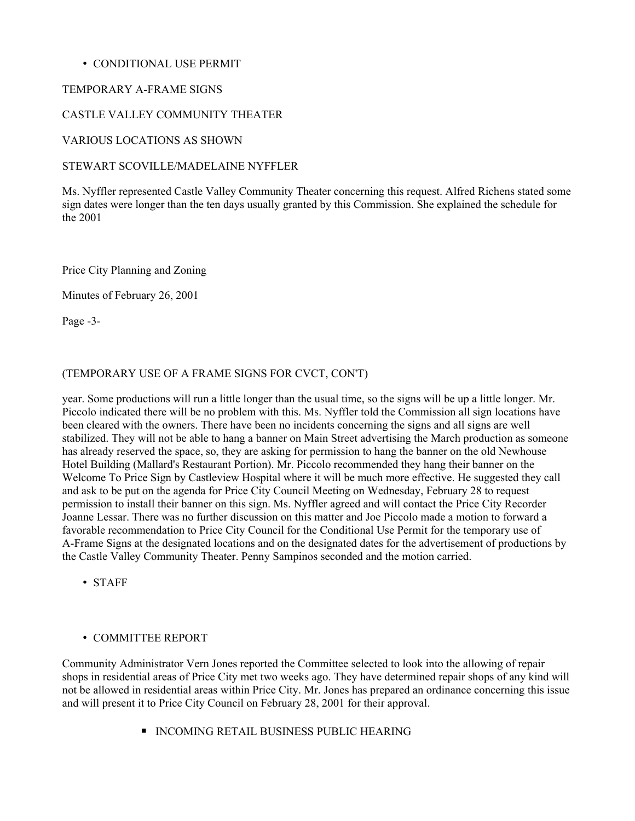### • CONDITIONAL USE PERMIT

### TEMPORARY A-FRAME SIGNS

### CASTLE VALLEY COMMUNITY THEATER

### VARIOUS LOCATIONS AS SHOWN

### STEWART SCOVILLE/MADELAINE NYFFLER

Ms. Nyffler represented Castle Valley Community Theater concerning this request. Alfred Richens stated some sign dates were longer than the ten days usually granted by this Commission. She explained the schedule for the 2001

Price City Planning and Zoning

Minutes of February 26, 2001

Page -3-

## (TEMPORARY USE OF A FRAME SIGNS FOR CVCT, CON'T)

year. Some productions will run a little longer than the usual time, so the signs will be up a little longer. Mr. Piccolo indicated there will be no problem with this. Ms. Nyffler told the Commission all sign locations have been cleared with the owners. There have been no incidents concerning the signs and all signs are well stabilized. They will not be able to hang a banner on Main Street advertising the March production as someone has already reserved the space, so, they are asking for permission to hang the banner on the old Newhouse Hotel Building (Mallard's Restaurant Portion). Mr. Piccolo recommended they hang their banner on the Welcome To Price Sign by Castleview Hospital where it will be much more effective. He suggested they call and ask to be put on the agenda for Price City Council Meeting on Wednesday, February 28 to request permission to install their banner on this sign. Ms. Nyffler agreed and will contact the Price City Recorder Joanne Lessar. There was no further discussion on this matter and Joe Piccolo made a motion to forward a favorable recommendation to Price City Council for the Conditional Use Permit for the temporary use of A-Frame Signs at the designated locations and on the designated dates for the advertisement of productions by the Castle Valley Community Theater. Penny Sampinos seconded and the motion carried.

• STAFF

#### • COMMITTEE REPORT

Community Administrator Vern Jones reported the Committee selected to look into the allowing of repair shops in residential areas of Price City met two weeks ago. They have determined repair shops of any kind will not be allowed in residential areas within Price City. Mr. Jones has prepared an ordinance concerning this issue and will present it to Price City Council on February 28, 2001 for their approval.

■ INCOMING RETAIL BUSINESS PUBLIC HEARING